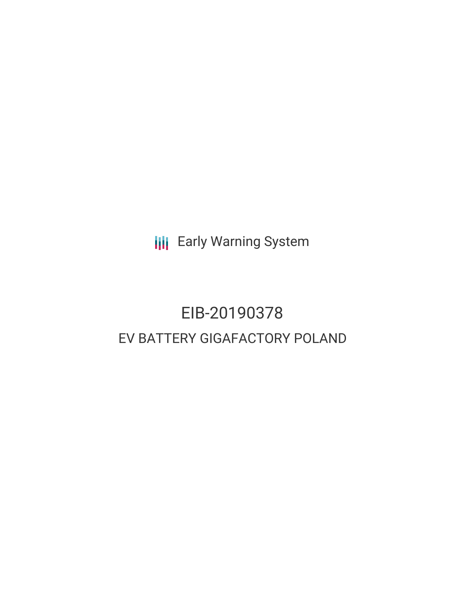**III** Early Warning System

# EIB-20190378 EV BATTERY GIGAFACTORY POLAND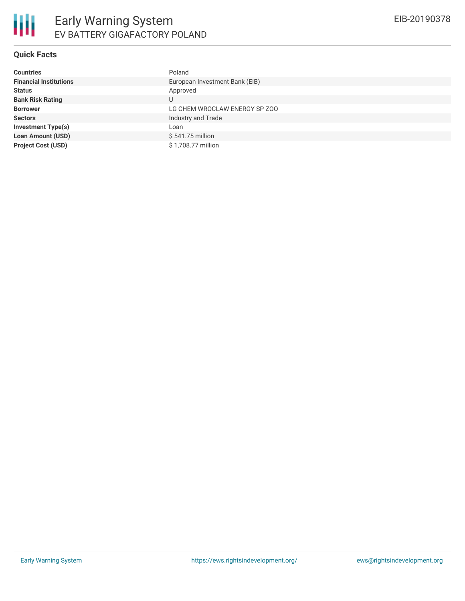## **Quick Facts**

| <b>Countries</b>              | Poland                         |
|-------------------------------|--------------------------------|
| <b>Financial Institutions</b> | European Investment Bank (EIB) |
| <b>Status</b>                 | Approved                       |
| <b>Bank Risk Rating</b>       | U                              |
| <b>Borrower</b>               | LG CHEM WROCLAW ENERGY SP ZOO  |
| <b>Sectors</b>                | Industry and Trade             |
| <b>Investment Type(s)</b>     | Loan                           |
| <b>Loan Amount (USD)</b>      | \$541.75 million               |
| <b>Project Cost (USD)</b>     | \$1,708.77 million             |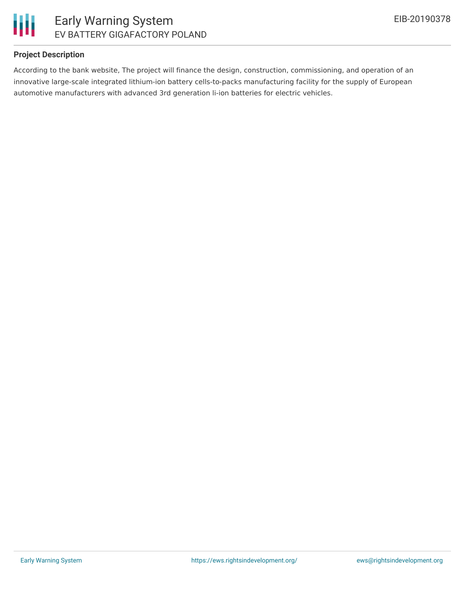

#### **Project Description**

According to the bank website, The project will finance the design, construction, commissioning, and operation of an innovative large-scale integrated lithium-ion battery cells-to-packs manufacturing facility for the supply of European automotive manufacturers with advanced 3rd generation li-ion batteries for electric vehicles.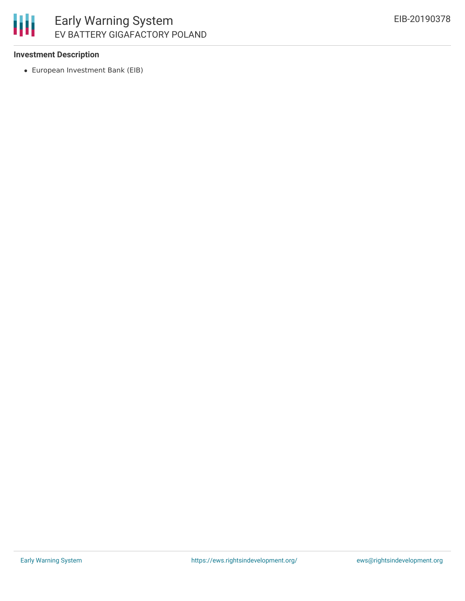### 冊 Early Warning System EV BATTERY GIGAFACTORY POLAND

#### **Investment Description**

European Investment Bank (EIB)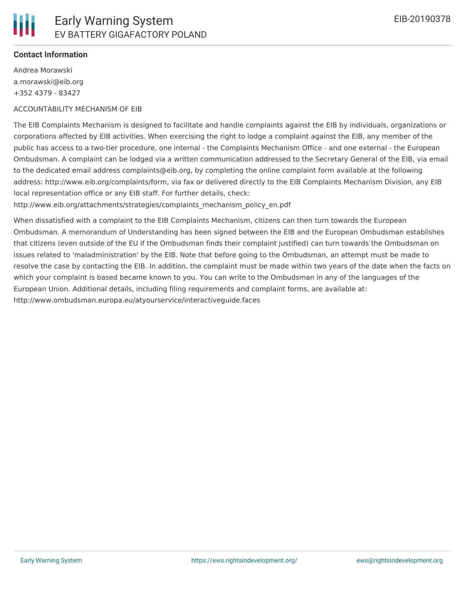#### **Contact Information**

Andrea Morawski a.morawski@eib.org +352 4379 - 83427

#### ACCOUNTABILITY MECHANISM OF EIB

The EIB Complaints Mechanism is designed to facilitate and handle complaints against the EIB by individuals, organizations or corporations affected by EIB activities. When exercising the right to lodge a complaint against the EIB, any member of the public has access to a two-tier procedure, one internal - the Complaints Mechanism Office - and one external - the European Ombudsman. A complaint can be lodged via a written communication addressed to the Secretary General of the EIB, via email to the dedicated email address complaints@eib.org, by completing the online complaint form available at the following address: http://www.eib.org/complaints/form, via fax or delivered directly to the EIB Complaints Mechanism Division, any EIB local representation office or any EIB staff. For further details, check:

http://www.eib.org/attachments/strategies/complaints\_mechanism\_policy\_en.pdf

When dissatisfied with a complaint to the EIB Complaints Mechanism, citizens can then turn towards the European Ombudsman. A memorandum of Understanding has been signed between the EIB and the European Ombudsman establishes that citizens (even outside of the EU if the Ombudsman finds their complaint justified) can turn towards the Ombudsman on issues related to 'maladministration' by the EIB. Note that before going to the Ombudsman, an attempt must be made to resolve the case by contacting the EIB. In addition, the complaint must be made within two years of the date when the facts on which your complaint is based became known to you. You can write to the Ombudsman in any of the languages of the European Union. Additional details, including filing requirements and complaint forms, are available at: http://www.ombudsman.europa.eu/atyourservice/interactiveguide.faces